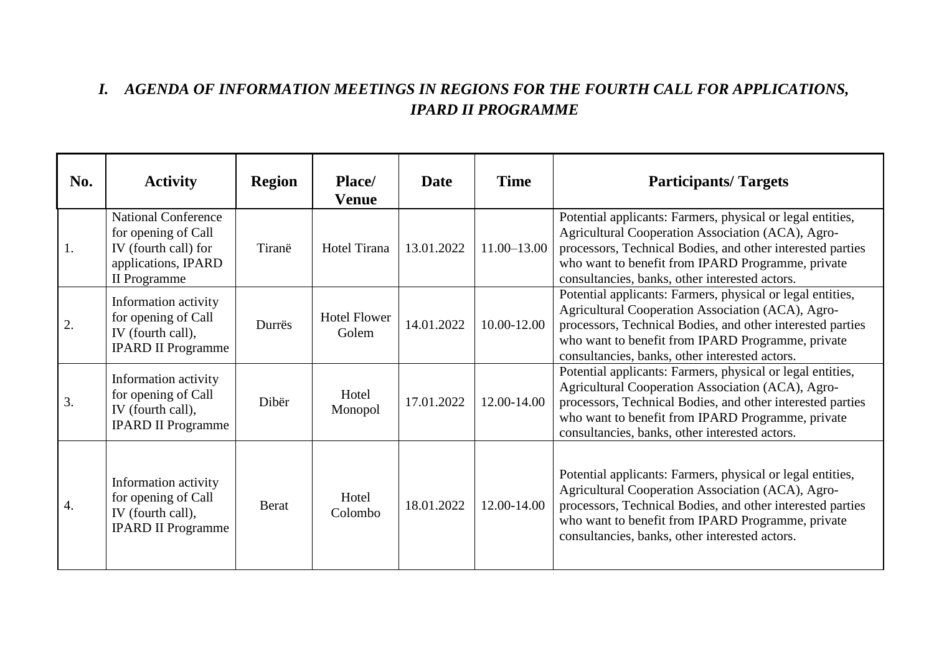## *I. AGENDA OF INFORMATION MEETINGS IN REGIONS FOR THE FOURTH CALL FOR APPLICATIONS, IPARD II PROGRAMME*

| No. | <b>Activity</b>                                                                                                  | <b>Region</b> | Place/<br><b>Venue</b>       | Date       | <b>Time</b>     | <b>Participants/Targets</b>                                                                                                                                                                                                                                                          |
|-----|------------------------------------------------------------------------------------------------------------------|---------------|------------------------------|------------|-----------------|--------------------------------------------------------------------------------------------------------------------------------------------------------------------------------------------------------------------------------------------------------------------------------------|
| 1.  | <b>National Conference</b><br>for opening of Call<br>IV (fourth call) for<br>applications, IPARD<br>II Programme | Tiranë        | Hotel Tirana                 | 13.01.2022 | $11.00 - 13.00$ | Potential applicants: Farmers, physical or legal entities,<br>Agricultural Cooperation Association (ACA), Agro-<br>processors, Technical Bodies, and other interested parties<br>who want to benefit from IPARD Programme, private<br>consultancies, banks, other interested actors. |
| 2.  | Information activity<br>for opening of Call<br>IV (fourth call),<br><b>IPARD II Programme</b>                    | Durrës        | <b>Hotel Flower</b><br>Golem | 14.01.2022 | 10.00-12.00     | Potential applicants: Farmers, physical or legal entities,<br>Agricultural Cooperation Association (ACA), Agro-<br>processors, Technical Bodies, and other interested parties<br>who want to benefit from IPARD Programme, private<br>consultancies, banks, other interested actors. |
| 3.  | Information activity<br>for opening of Call<br>IV (fourth call),<br><b>IPARD II Programme</b>                    | Dibër         | Hotel<br>Monopol             | 17.01.2022 | 12.00-14.00     | Potential applicants: Farmers, physical or legal entities,<br>Agricultural Cooperation Association (ACA), Agro-<br>processors, Technical Bodies, and other interested parties<br>who want to benefit from IPARD Programme, private<br>consultancies, banks, other interested actors. |
| 4.  | Information activity<br>for opening of Call<br>IV (fourth call),<br><b>IPARD II Programme</b>                    | <b>Berat</b>  | Hotel<br>Colombo             | 18.01.2022 | 12.00-14.00     | Potential applicants: Farmers, physical or legal entities,<br>Agricultural Cooperation Association (ACA), Agro-<br>processors, Technical Bodies, and other interested parties<br>who want to benefit from IPARD Programme, private<br>consultancies, banks, other interested actors. |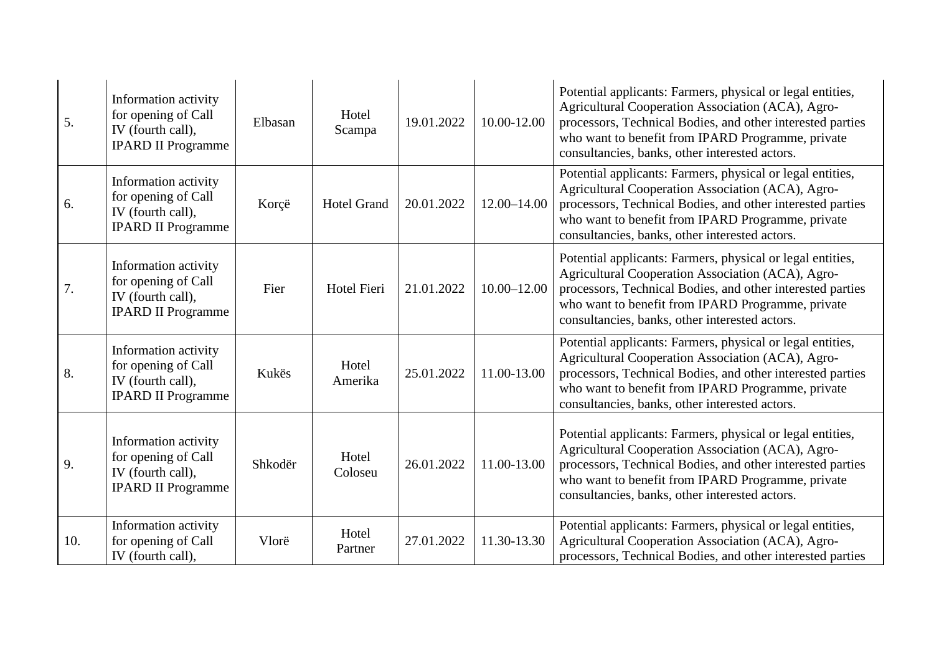| 5.  | Information activity<br>for opening of Call<br>IV (fourth call),<br><b>IPARD II Programme</b> | Elbasan | Hotel<br>Scampa    | 19.01.2022 | 10.00-12.00     | Potential applicants: Farmers, physical or legal entities,<br>Agricultural Cooperation Association (ACA), Agro-<br>processors, Technical Bodies, and other interested parties<br>who want to benefit from IPARD Programme, private<br>consultancies, banks, other interested actors. |
|-----|-----------------------------------------------------------------------------------------------|---------|--------------------|------------|-----------------|--------------------------------------------------------------------------------------------------------------------------------------------------------------------------------------------------------------------------------------------------------------------------------------|
| 6.  | Information activity<br>for opening of Call<br>IV (fourth call),<br><b>IPARD II Programme</b> | Korçë   | <b>Hotel Grand</b> | 20.01.2022 | 12.00-14.00     | Potential applicants: Farmers, physical or legal entities,<br>Agricultural Cooperation Association (ACA), Agro-<br>processors, Technical Bodies, and other interested parties<br>who want to benefit from IPARD Programme, private<br>consultancies, banks, other interested actors. |
| 7.  | Information activity<br>for opening of Call<br>IV (fourth call),<br><b>IPARD II Programme</b> | Fier    | <b>Hotel Fieri</b> | 21.01.2022 | $10.00 - 12.00$ | Potential applicants: Farmers, physical or legal entities,<br>Agricultural Cooperation Association (ACA), Agro-<br>processors, Technical Bodies, and other interested parties<br>who want to benefit from IPARD Programme, private<br>consultancies, banks, other interested actors. |
| 8.  | Information activity<br>for opening of Call<br>IV (fourth call),<br><b>IPARD II Programme</b> | Kukës   | Hotel<br>Amerika   | 25.01.2022 | 11.00-13.00     | Potential applicants: Farmers, physical or legal entities,<br>Agricultural Cooperation Association (ACA), Agro-<br>processors, Technical Bodies, and other interested parties<br>who want to benefit from IPARD Programme, private<br>consultancies, banks, other interested actors. |
| 9.  | Information activity<br>for opening of Call<br>IV (fourth call),<br><b>IPARD II Programme</b> | Shkodër | Hotel<br>Coloseu   | 26.01.2022 | 11.00-13.00     | Potential applicants: Farmers, physical or legal entities,<br>Agricultural Cooperation Association (ACA), Agro-<br>processors, Technical Bodies, and other interested parties<br>who want to benefit from IPARD Programme, private<br>consultancies, banks, other interested actors. |
| 10. | Information activity<br>for opening of Call<br>IV (fourth call),                              | Vlorë   | Hotel<br>Partner   | 27.01.2022 | 11.30-13.30     | Potential applicants: Farmers, physical or legal entities,<br>Agricultural Cooperation Association (ACA), Agro-<br>processors, Technical Bodies, and other interested parties                                                                                                        |